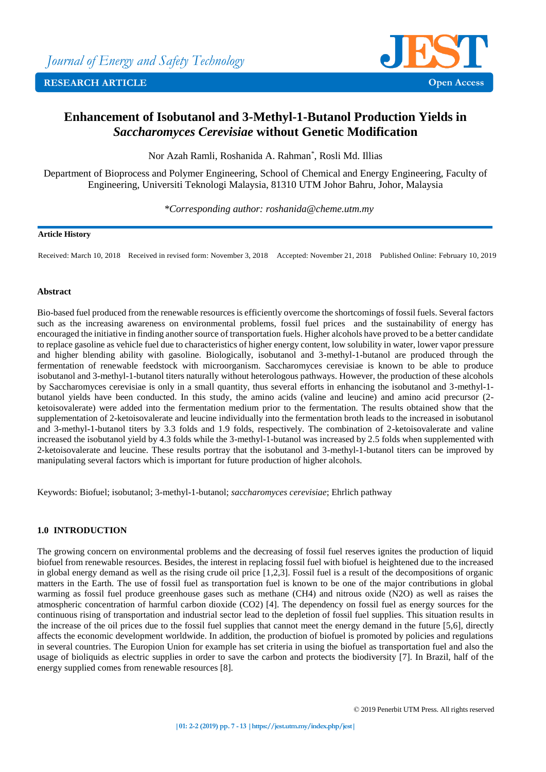

# **Enhancement of Isobutanol and 3-Methyl-1-Butanol Production Yields in**  *Saccharomyces Cerevisiae* **without Genetic Modification**

Nor Azah Ramli, Roshanida A. Rahman\* , Rosli Md. Illias

Department of Bioprocess and Polymer Engineering, School of Chemical and Energy Engineering, Faculty of Engineering, Universiti Teknologi Malaysia, 81310 UTM Johor Bahru, Johor, Malaysia

*\*Corresponding author: roshanida@cheme.utm.my*

# **Article History**

Received: March 10, 2018 Received in revised form: November 3, 2018 Accepted: November 21, 2018 Published Online: February 10, 2019

# **Abstract**

Bio-based fuel produced from the renewable resources is efficiently overcome the shortcomings of fossil fuels. Several factors such as the increasing awareness on environmental problems, fossil fuel prices and the sustainability of energy has encouraged the initiative in finding another source of transportation fuels. Higher alcohols have proved to be a better candidate to replace gasoline as vehicle fuel due to characteristics of higher energy content, low solubility in water, lower vapor pressure and higher blending ability with gasoline. Biologically, isobutanol and 3-methyl-1-butanol are produced through the fermentation of renewable feedstock with microorganism. Saccharomyces cerevisiae is known to be able to produce isobutanol and 3-methyl-1-butanol titers naturally without heterologous pathways. However, the production of these alcohols by Saccharomyces cerevisiae is only in a small quantity, thus several efforts in enhancing the isobutanol and 3-methyl-1 butanol yields have been conducted. In this study, the amino acids (valine and leucine) and amino acid precursor (2 ketoisovalerate) were added into the fermentation medium prior to the fermentation. The results obtained show that the supplementation of 2-ketoisovalerate and leucine individually into the fermentation broth leads to the increased in isobutanol and 3-methyl-1-butanol titers by 3.3 folds and 1.9 folds, respectively. The combination of 2-ketoisovalerate and valine increased the isobutanol yield by 4.3 folds while the 3-methyl-1-butanol was increased by 2.5 folds when supplemented with 2-ketoisovalerate and leucine. These results portray that the isobutanol and 3-methyl-1-butanol titers can be improved by manipulating several factors which is important for future production of higher alcohols.

Keywords: Biofuel; isobutanol; 3-methyl-1-butanol; *saccharomyces cerevisiae*; Ehrlich pathway

# **1.0 INTRODUCTION**

The growing concern on environmental problems and the decreasing of fossil fuel reserves ignites the production of liquid biofuel from renewable resources. Besides, the interest in replacing fossil fuel with biofuel is heightened due to the increased in global energy demand as well as the rising crude oil price [1,2,3]. Fossil fuel is a result of the decompositions of organic matters in the Earth. The use of fossil fuel as transportation fuel is known to be one of the major contributions in global warming as fossil fuel produce greenhouse gases such as methane (CH4) and nitrous oxide (N2O) as well as raises the atmospheric concentration of harmful carbon dioxide (CO2) [4]. The dependency on fossil fuel as energy sources for the continuous rising of transportation and industrial sector lead to the depletion of fossil fuel supplies. This situation results in the increase of the oil prices due to the fossil fuel supplies that cannot meet the energy demand in the future [5,6], directly affects the economic development worldwide. In addition, the production of biofuel is promoted by policies and regulations in several countries. The Europion Union for example has set criteria in using the biofuel as transportation fuel and also the usage of bioliquids as electric supplies in order to save the carbon and protects the biodiversity [7]. In Brazil, half of the energy supplied comes from renewable resources [8].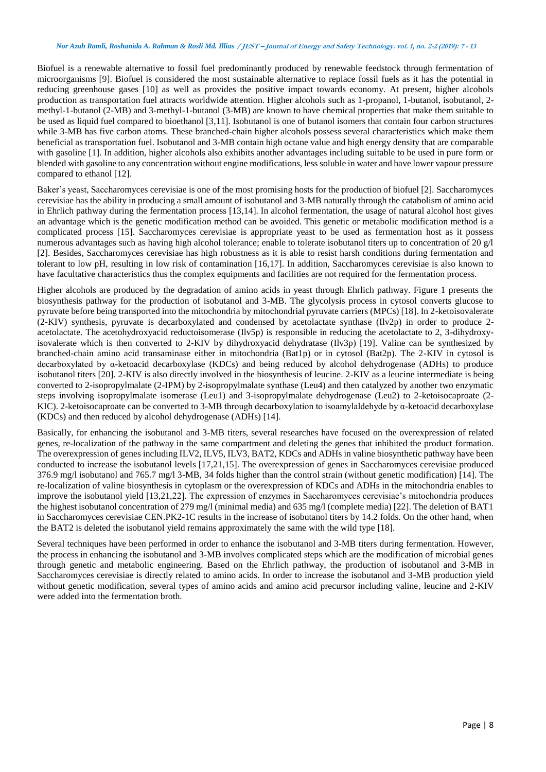Biofuel is a renewable alternative to fossil fuel predominantly produced by renewable feedstock through fermentation of microorganisms [9]. Biofuel is considered the most sustainable alternative to replace fossil fuels as it has the potential in reducing greenhouse gases [10] as well as provides the positive impact towards economy. At present, higher alcohols production as transportation fuel attracts worldwide attention. Higher alcohols such as 1-propanol, 1-butanol, isobutanol, 2 methyl-1-butanol (2-MB) and 3-methyl-1-butanol (3-MB) are known to have chemical properties that make them suitable to be used as liquid fuel compared to bioethanol [3,11]. Isobutanol is one of butanol isomers that contain four carbon structures while 3-MB has five carbon atoms. These branched-chain higher alcohols possess several characteristics which make them beneficial as transportation fuel. Isobutanol and 3-MB contain high octane value and high energy density that are comparable with gasoline [1]. In addition, higher alcohols also exhibits another advantages including suitable to be used in pure form or blended with gasoline to any concentration without engine modifications, less soluble in water and have lower vapour pressure compared to ethanol [12].

Baker's yeast, Saccharomyces cerevisiae is one of the most promising hosts for the production of biofuel [2]. Saccharomyces cerevisiae has the ability in producing a small amount of isobutanol and 3-MB naturally through the catabolism of amino acid in Ehrlich pathway during the fermentation process [13,14]. In alcohol fermentation, the usage of natural alcohol host gives an advantage which is the genetic modification method can be avoided. This genetic or metabolic modification method is a complicated process [15]. Saccharomyces cerevisiae is appropriate yeast to be used as fermentation host as it possess numerous advantages such as having high alcohol tolerance; enable to tolerate isobutanol titers up to concentration of 20 g/l [2]. Besides, Saccharomyces cerevisiae has high robustness as it is able to resist harsh conditions during fermentation and tolerant to low pH, resulting in low risk of contamination [16,17]. In addition, Saccharomyces cerevisiae is also known to have facultative characteristics thus the complex equipments and facilities are not required for the fermentation process.

Higher alcohols are produced by the degradation of amino acids in yeast through Ehrlich pathway. Figure 1 presents the biosynthesis pathway for the production of isobutanol and 3-MB. The glycolysis process in cytosol converts glucose to pyruvate before being transported into the mitochondria by mitochondrial pyruvate carriers (MPCs) [18]. In 2-ketoisovalerate (2-KIV) synthesis, pyruvate is decarboxylated and condensed by acetolactate synthase (Ilv2p) in order to produce 2 acetolactate. The acetohydroxyacid reductoisomerase (Ilv5p) is responsible in reducing the acetolactate to 2, 3-dihydroxyisovalerate which is then converted to 2-KIV by dihydroxyacid dehydratase (Ilv3p) [19]. Valine can be synthesized by branched-chain amino acid transaminase either in mitochondria (Bat1p) or in cytosol (Bat2p). The 2-KIV in cytosol is decarboxylated by α-ketoacid decarboxylase (KDCs) and being reduced by alcohol dehydrogenase (ADHs) to produce isobutanol titers [20]. 2-KIV is also directly involved in the biosynthesis of leucine. 2-KIV as a leucine intermediate is being converted to 2-isopropylmalate (2-IPM) by 2-isopropylmalate synthase (Leu4) and then catalyzed by another two enzymatic steps involving isopropylmalate isomerase (Leu1) and 3-isopropylmalate dehydrogenase (Leu2) to 2-ketoisocaproate (2- KIC). 2-ketoisocaproate can be converted to 3-MB through decarboxylation to isoamylaldehyde by α-ketoacid decarboxylase (KDCs) and then reduced by alcohol dehydrogenase (ADHs) [14].

Basically, for enhancing the isobutanol and 3-MB titers, several researches have focused on the overexpression of related genes, re-localization of the pathway in the same compartment and deleting the genes that inhibited the product formation. The overexpression of genes including ILV2, ILV5, ILV3, BAT2, KDCs and ADHs in valine biosynthetic pathway have been conducted to increase the isobutanol levels [17,21,15]. The overexpression of genes in Saccharomyces cerevisiae produced 376.9 mg/l isobutanol and 765.7 mg/l 3-MB, 34 folds higher than the control strain (without genetic modification) [14]. The re-localization of valine biosynthesis in cytoplasm or the overexpression of KDCs and ADHs in the mitochondria enables to improve the isobutanol yield [13,21,22]. The expression of enzymes in Saccharomyces cerevisiae's mitochondria produces the highest isobutanol concentration of 279 mg/l (minimal media) and 635 mg/l (complete media) [22]. The deletion of BAT1 in Saccharomyces cerevisiae CEN.PK2-1C results in the increase of isobutanol titers by 14.2 folds. On the other hand, when the BAT2 is deleted the isobutanol yield remains approximately the same with the wild type [18].

Several techniques have been performed in order to enhance the isobutanol and 3-MB titers during fermentation. However, the process in enhancing the isobutanol and 3-MB involves complicated steps which are the modification of microbial genes through genetic and metabolic engineering. Based on the Ehrlich pathway, the production of isobutanol and 3-MB in Saccharomyces cerevisiae is directly related to amino acids. In order to increase the isobutanol and 3-MB production yield without genetic modification, several types of amino acids and amino acid precursor including valine, leucine and 2-KIV were added into the fermentation broth.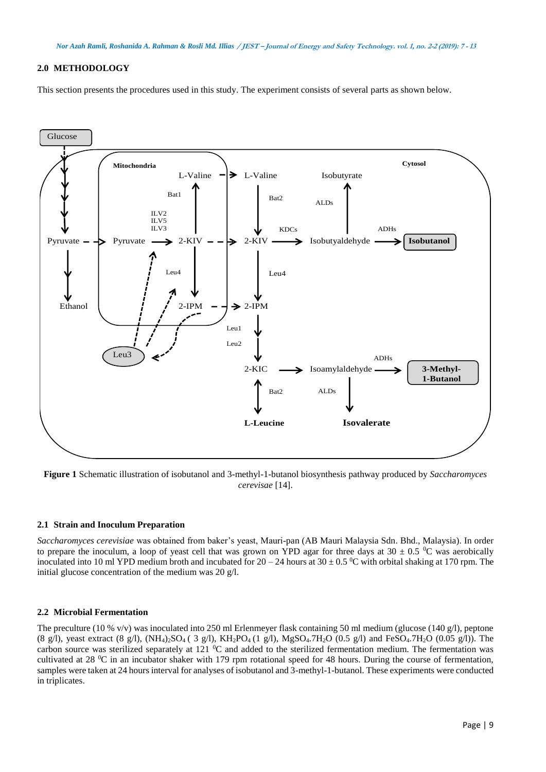# **2.0 METHODOLOGY**

This section presents the procedures used in this study. The experiment consists of several parts as shown below.



**Figure 1** Schematic illustration of isobutanol and 3-methyl-1-butanol biosynthesis pathway produced by *Saccharomyces cerevisae* [14].

### **2.1 Strain and Inoculum Preparation**

*Saccharomyces cerevisiae* was obtained from baker's yeast, Mauri-pan (AB Mauri Malaysia Sdn. Bhd., Malaysia). In order to prepare the inoculum, a loop of yeast cell that was grown on YPD agar for three days at 30  $\pm$  0.5 °C was aerobically inoculated into 10 ml YPD medium broth and incubated for  $20 - 24$  hours at  $30 \pm 0.5$  °C with orbital shaking at 170 rpm. The initial glucose concentration of the medium was 20 g/l.

## **2.2 Microbial Fermentation**

The preculture (10 % v/v) was inoculated into 250 ml Erlenmeyer flask containing 50 ml medium (glucose (140 g/l), peptone (8 g/l), yeast extract (8 g/l),  $(NH_4)_2SO_4$  (3 g/l),  $KH_2PO_4$  (1 g/l),  $MgSO_4$ .7H<sub>2</sub>O (0.5 g/l) and FeSO<sub>4</sub>.7H<sub>2</sub>O (0.05 g/l)). The carbon source was sterilized separately at 121  $\rm{^0C}$  and added to the sterilized fermentation medium. The fermentation was cultivated at 28  $\rm{^0C}$  in an incubator shaker with 179 rpm rotational speed for 48 hours. During the course of fermentation, samples were taken at 24 hours interval for analyses of isobutanol and 3-methyl-1-butanol. These experiments were conducted in triplicates.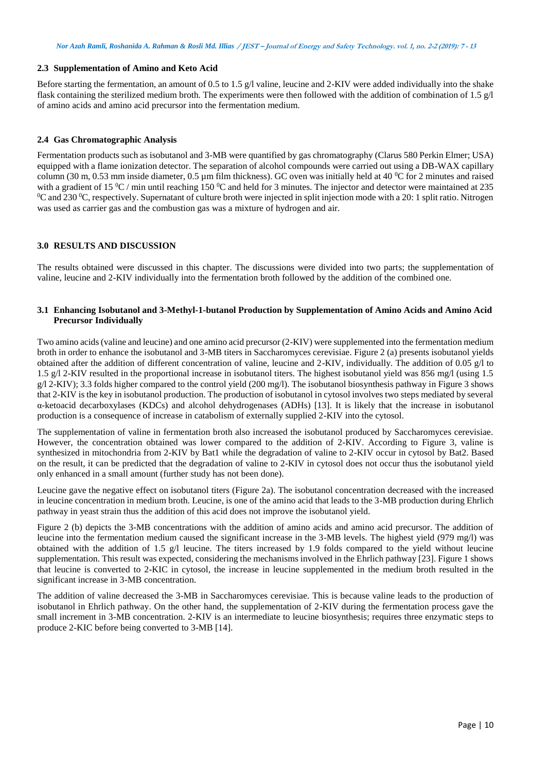# **2.3 Supplementation of Amino and Keto Acid**

Before starting the fermentation, an amount of 0.5 to 1.5 g/l valine, leucine and 2-KIV were added individually into the shake flask containing the sterilized medium broth. The experiments were then followed with the addition of combination of 1.5  $g/1$ of amino acids and amino acid precursor into the fermentation medium.

# **2.4 Gas Chromatographic Analysis**

Fermentation products such as isobutanol and 3-MB were quantified by gas chromatography (Clarus 580 Perkin Elmer; USA) equipped with a flame ionization detector. The separation of alcohol compounds were carried out using a DB-WAX capillary column (30 m, 0.53 mm inside diameter, 0.5  $\mu$ m film thickness). GC oven was initially held at 40 °C for 2 minutes and raised with a gradient of 15  $^{\circ}$ C / min until reaching 150  $^{\circ}$ C and held for 3 minutes. The injector and detector were maintained at 235  $^0C$  and 230  $^0C$ , respectively. Supernatant of culture broth were injected in split injection mode with a 20: 1 split ratio. Nitrogen was used as carrier gas and the combustion gas was a mixture of hydrogen and air.

# **3.0 RESULTS AND DISCUSSION**

The results obtained were discussed in this chapter. The discussions were divided into two parts; the supplementation of valine, leucine and 2-KIV individually into the fermentation broth followed by the addition of the combined one.

# **3.1 Enhancing Isobutanol and 3-Methyl-1-butanol Production by Supplementation of Amino Acids and Amino Acid Precursor Individually**

Two amino acids (valine and leucine) and one amino acid precursor (2-KIV) were supplemented into the fermentation medium broth in order to enhance the isobutanol and 3-MB titers in Saccharomyces cerevisiae. Figure 2 (a) presents isobutanol yields obtained after the addition of different concentration of valine, leucine and 2-KIV, individually. The addition of 0.05 g/l to 1.5 g/l 2-KIV resulted in the proportional increase in isobutanol titers. The highest isobutanol yield was 856 mg/l (using 1.5 g/l 2-KIV); 3.3 folds higher compared to the control yield (200 mg/l). The isobutanol biosynthesis pathway in Figure 3 shows that 2-KIV is the key in isobutanol production. The production of isobutanol in cytosol involves two steps mediated by several α-ketoacid decarboxylases (KDCs) and alcohol dehydrogenases (ADHs) [13]. It is likely that the increase in isobutanol production is a consequence of increase in catabolism of externally supplied 2-KIV into the cytosol.

The supplementation of valine in fermentation broth also increased the isobutanol produced by Saccharomyces cerevisiae. However, the concentration obtained was lower compared to the addition of 2-KIV. According to Figure 3, valine is synthesized in mitochondria from 2-KIV by Bat1 while the degradation of valine to 2-KIV occur in cytosol by Bat2. Based on the result, it can be predicted that the degradation of valine to 2-KIV in cytosol does not occur thus the isobutanol yield only enhanced in a small amount (further study has not been done).

Leucine gave the negative effect on isobutanol titers (Figure 2a). The isobutanol concentration decreased with the increased in leucine concentration in medium broth. Leucine, is one of the amino acid that leads to the 3-MB production during Ehrlich pathway in yeast strain thus the addition of this acid does not improve the isobutanol yield.

Figure 2 (b) depicts the 3-MB concentrations with the addition of amino acids and amino acid precursor. The addition of leucine into the fermentation medium caused the significant increase in the 3-MB levels. The highest yield (979 mg/l) was obtained with the addition of 1.5 g/l leucine. The titers increased by 1.9 folds compared to the yield without leucine supplementation. This result was expected, considering the mechanisms involved in the Ehrlich pathway [23]. Figure 1 shows that leucine is converted to 2-KIC in cytosol, the increase in leucine supplemented in the medium broth resulted in the significant increase in 3-MB concentration.

The addition of valine decreased the 3-MB in Saccharomyces cerevisiae. This is because valine leads to the production of isobutanol in Ehrlich pathway. On the other hand, the supplementation of 2-KIV during the fermentation process gave the small increment in 3-MB concentration. 2-KIV is an intermediate to leucine biosynthesis; requires three enzymatic steps to produce 2-KIC before being converted to 3-MB [14].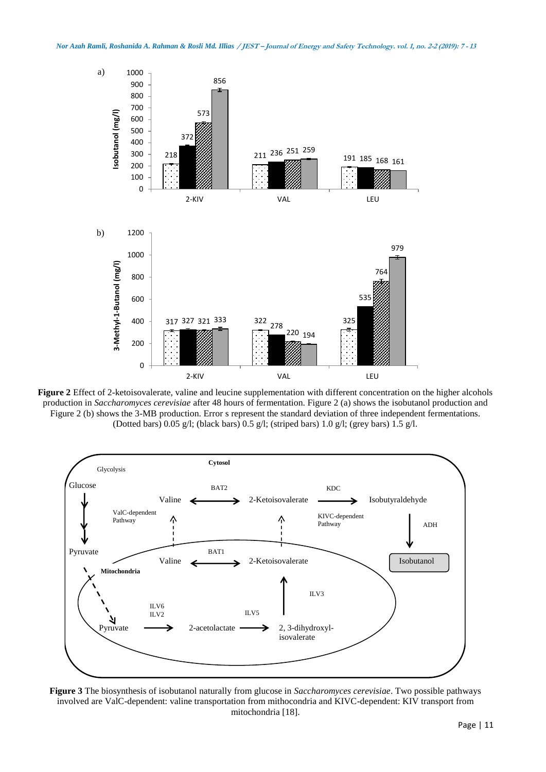

**Figure 2** Effect of 2-ketoisovalerate, valine and leucine supplementation with different concentration on the higher alcohols production in *Saccharomyces cerevisiae* after 48 hours of fermentation. Figure 2 (a) shows the isobutanol production and Figure 2 (b) shows the 3-MB production. Error s represent the standard deviation of three independent fermentations. (Dotted bars) 0.05 g/l; (black bars) 0.5 g/l; (striped bars) 1.0 g/l; (grey bars) 1.5 g/l.



**Figure 3** The biosynthesis of isobutanol naturally from glucose in *Saccharomyces cerevisiae*. Two possible pathways involved are ValC-dependent: valine transportation from mithocondria and KIVC-dependent: KIV transport from mitochondria [18].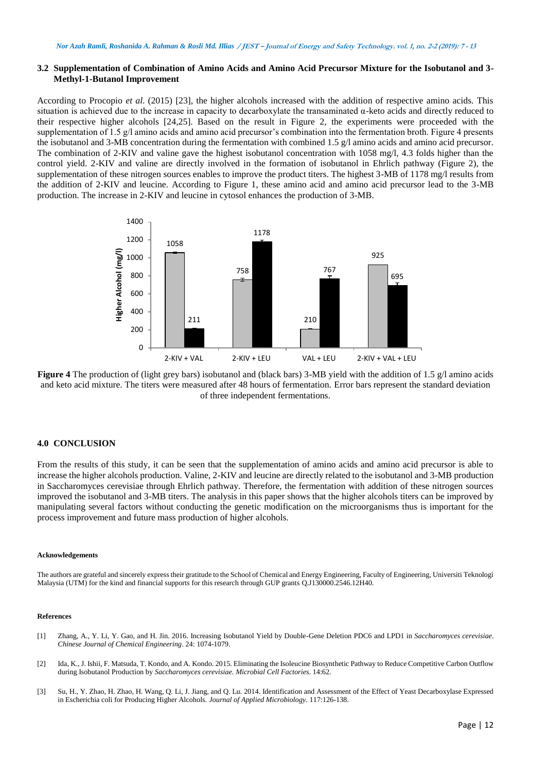# **3.2 Supplementation of Combination of Amino Acids and Amino Acid Precursor Mixture for the Isobutanol and 3- Methyl-1-Butanol Improvement**

According to Procopio *et al*. (2015) [23], the higher alcohols increased with the addition of respective amino acids. This situation is achieved due to the increase in capacity to decarboxylate the transaminated α-keto acids and directly reduced to their respective higher alcohols [24,25]. Based on the result in Figure 2, the experiments were proceeded with the supplementation of 1.5 g/l amino acids and amino acid precursor's combination into the fermentation broth. Figure 4 presents the isobutanol and 3-MB concentration during the fermentation with combined 1.5 g/l amino acids and amino acid precursor. The combination of 2-KIV and valine gave the highest isobutanol concentration with 1058 mg/l, 4.3 folds higher than the control yield. 2-KIV and valine are directly involved in the formation of isobutanol in Ehrlich pathway (Figure 2), the supplementation of these nitrogen sources enables to improve the product titers. The highest 3-MB of 1178 mg/l results from the addition of 2-KIV and leucine. According to Figure 1, these amino acid and amino acid precursor lead to the 3-MB production. The increase in 2-KIV and leucine in cytosol enhances the production of 3-MB.



**Figure 4** The production of (light grey bars) isobutanol and (black bars) 3-MB yield with the addition of 1.5 g/l amino acids and keto acid mixture. The titers were measured after 48 hours of fermentation. Error bars represent the standard deviation of three independent fermentations.

#### **4.0 CONCLUSION**

From the results of this study, it can be seen that the supplementation of amino acids and amino acid precursor is able to increase the higher alcohols production. Valine, 2-KIV and leucine are directly related to the isobutanol and 3-MB production in Saccharomyces cerevisiae through Ehrlich pathway. Therefore, the fermentation with addition of these nitrogen sources improved the isobutanol and 3-MB titers. The analysis in this paper shows that the higher alcohols titers can be improved by manipulating several factors without conducting the genetic modification on the microorganisms thus is important for the process improvement and future mass production of higher alcohols.

#### **Acknowledgements**

The authors are grateful and sincerely express their gratitude to the School of Chemical and Energy Engineering, Faculty of Engineering, Universiti Teknologi Malaysia (UTM) for the kind and financial supports for this research through GUP grants Q.J130000.2546.12H40.

#### **References**

- [1] Zhang, A., Y. Li, Y. Gao, and H. Jin. 2016. Increasing Isobutanol Yield by Double-Gene Deletion PDC6 and LPD1 in *Saccharomyces cerevisiae*. *Chinese Journal of Chemical Engineering*. 24: 1074-1079.
- [2] Ida, K., J. Ishii, F. Matsuda, T. Kondo, and A. Kondo. 2015. Eliminating the Isoleucine Biosynthetic Pathway to Reduce Competitive Carbon Outflow during Isobutanol Production by *Saccharomyces cerevisiae*. *Microbial Cell Factories*. 14:62.
- [3] Su, H., Y. Zhao, H. Zhao, H. Wang, Q. Li, J. Jiang, and Q. Lu. 2014. Identification and Assessment of the Effect of Yeast Decarboxylase Expressed in Escherichia coli for Producing Higher Alcohols. *Journal of Applied Microbiology*. 117:126-138.